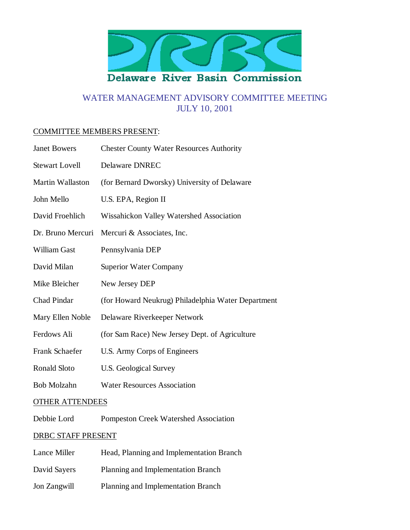

# WATER MANAGEMENT ADVISORY COMMITTEE MEETING JULY 10, 2001

#### COMMITTEE MEMBERS PRESENT:

| <b>Janet Bowers</b>    | <b>Chester County Water Resources Authority</b>    |  |
|------------------------|----------------------------------------------------|--|
| <b>Stewart Lovell</b>  | <b>Delaware DNREC</b>                              |  |
| Martin Wallaston       | (for Bernard Dworsky) University of Delaware       |  |
| John Mello             | U.S. EPA, Region II                                |  |
| David Froehlich        | Wissahickon Valley Watershed Association           |  |
| Dr. Bruno Mercuri      | Mercuri & Associates, Inc.                         |  |
| William Gast           | Pennsylvania DEP                                   |  |
| David Milan            | <b>Superior Water Company</b>                      |  |
| Mike Bleicher          | New Jersey DEP                                     |  |
| <b>Chad Pindar</b>     | (for Howard Neukrug) Philadelphia Water Department |  |
| Mary Ellen Noble       | Delaware Riverkeeper Network                       |  |
| Ferdows Ali            | (for Sam Race) New Jersey Dept. of Agriculture     |  |
| Frank Schaefer         | U.S. Army Corps of Engineers                       |  |
| <b>Ronald Sloto</b>    | U.S. Geological Survey                             |  |
| <b>Bob Molzahn</b>     | <b>Water Resources Association</b>                 |  |
| <b>OTHER ATTENDEES</b> |                                                    |  |
| Debbie Lord            | <b>Pompeston Creek Watershed Association</b>       |  |

# DRBC STAFF PRESENT

| Lance Miller | Head, Planning and Implementation Branch  |
|--------------|-------------------------------------------|
| David Sayers | <b>Planning and Implementation Branch</b> |
| Jon Zangwill | <b>Planning and Implementation Branch</b> |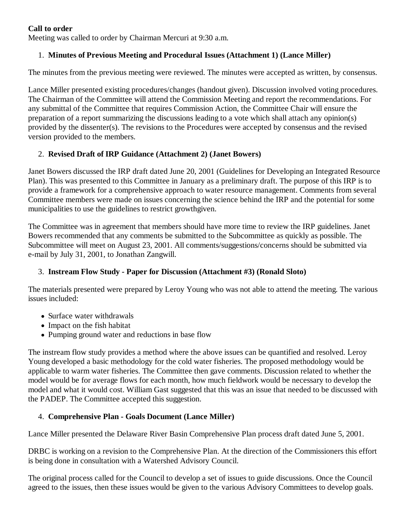#### **Call to order**

Meeting was called to order by Chairman Mercuri at 9:30 a.m.

## 1. **Minutes of Previous Meeting and Procedural Issues (Attachment 1) (Lance Miller)**

The minutes from the previous meeting were reviewed. The minutes were accepted as written, by consensus.

Lance Miller presented existing procedures/changes (handout given). Discussion involved voting procedures. The Chairman of the Committee will attend the Commission Meeting and report the recommendations. For any submittal of the Committee that requires Commission Action, the Committee Chair will ensure the preparation of a report summarizing the discussions leading to a vote which shall attach any opinion(s) provided by the dissenter(s). The revisions to the Procedures were accepted by consensus and the revised version provided to the members.

## 2. **Revised Draft of IRP Guidance (Attachment 2) (Janet Bowers)**

Janet Bowers discussed the IRP draft dated June 20, 2001 (Guidelines for Developing an Integrated Resource Plan). This was presented to this Committee in January as a preliminary draft. The purpose of this IRP is to provide a framework for a comprehensive approach to water resource management. Comments from several Committee members were made on issues concerning the science behind the IRP and the potential for some municipalities to use the guidelines to restrict growthgiven.

The Committee was in agreement that members should have more time to review the IRP guidelines. Janet Bowers recommended that any comments be submitted to the Subcommittee as quickly as possible. The Subcommittee will meet on August 23, 2001. All comments/suggestions/concerns should be submitted via e-mail by July 31, 2001, to Jonathan Zangwill.

## 3. **Instream Flow Study - Paper for Discussion (Attachment #3) (Ronald Sloto)**

The materials presented were prepared by Leroy Young who was not able to attend the meeting. The various issues included:

- Surface water withdrawals
- Impact on the fish habitat
- Pumping ground water and reductions in base flow

The instream flow study provides a method where the above issues can be quantified and resolved. Leroy Young developed a basic methodology for the cold water fisheries. The proposed methodology would be applicable to warm water fisheries. The Committee then gave comments. Discussion related to whether the model would be for average flows for each month, how much fieldwork would be necessary to develop the model and what it would cost. William Gast suggested that this was an issue that needed to be discussed with the PADEP. The Committee accepted this suggestion.

## 4. **Comprehensive Plan - Goals Document (Lance Miller)**

Lance Miller presented the Delaware River Basin Comprehensive Plan process draft dated June 5, 2001.

DRBC is working on a revision to the Comprehensive Plan. At the direction of the Commissioners this effort is being done in consultation with a Watershed Advisory Council.

The original process called for the Council to develop a set of issues to guide discussions. Once the Council agreed to the issues, then these issues would be given to the various Advisory Committees to develop goals.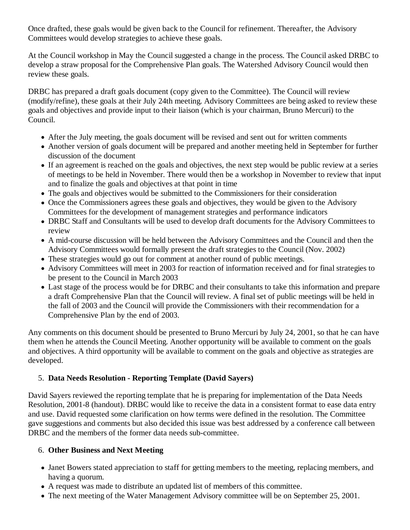Once drafted, these goals would be given back to the Council for refinement. Thereafter, the Advisory Committees would develop strategies to achieve these goals.

At the Council workshop in May the Council suggested a change in the process. The Council asked DRBC to develop a straw proposal for the Comprehensive Plan goals. The Watershed Advisory Council would then review these goals.

DRBC has prepared a draft goals document (copy given to the Committee). The Council will review (modify/refine), these goals at their July 24th meeting. Advisory Committees are being asked to review these goals and objectives and provide input to their liaison (which is your chairman, Bruno Mercuri) to the Council.

- After the July meeting, the goals document will be revised and sent out for written comments
- Another version of goals document will be prepared and another meeting held in September for further discussion of the document
- If an agreement is reached on the goals and objectives, the next step would be public review at a series of meetings to be held in November. There would then be a workshop in November to review that input and to finalize the goals and objectives at that point in time
- The goals and objectives would be submitted to the Commissioners for their consideration
- Once the Commissioners agrees these goals and objectives, they would be given to the Advisory Committees for the development of management strategies and performance indicators
- DRBC Staff and Consultants will be used to develop draft documents for the Advisory Committees to review
- A mid-course discussion will be held between the Advisory Committees and the Council and then the Advisory Committees would formally present the draft strategies to the Council (Nov. 2002)
- These strategies would go out for comment at another round of public meetings.
- Advisory Committees will meet in 2003 for reaction of information received and for final strategies to be present to the Council in March 2003
- Last stage of the process would be for DRBC and their consultants to take this information and prepare a draft Comprehensive Plan that the Council will review. A final set of public meetings will be held in the fall of 2003 and the Council will provide the Commissioners with their recommendation for a Comprehensive Plan by the end of 2003.

Any comments on this document should be presented to Bruno Mercuri by July 24, 2001, so that he can have them when he attends the Council Meeting. Another opportunity will be available to comment on the goals and objectives. A third opportunity will be available to comment on the goals and objective as strategies are developed.

#### 5. **Data Needs Resolution - Reporting Template (David Sayers)**

David Sayers reviewed the reporting template that he is preparing for implementation of the Data Needs Resolution, 2001-8 (handout). DRBC would like to receive the data in a consistent format to ease data entry and use. David requested some clarification on how terms were defined in the resolution. The Committee gave suggestions and comments but also decided this issue was best addressed by a conference call between DRBC and the members of the former data needs sub-committee.

## 6. **Other Business and Next Meeting**

- Janet Bowers stated appreciation to staff for getting members to the meeting, replacing members, and having a quorum.
- A request was made to distribute an updated list of members of this committee.
- The next meeting of the Water Management Advisory committee will be on September 25, 2001.